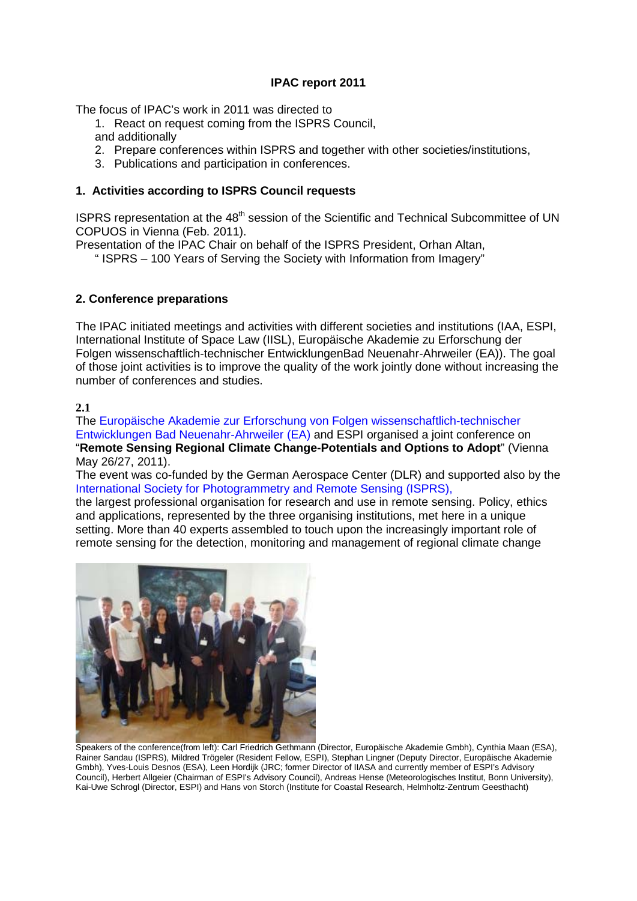## **IPAC report 2011**

The focus of IPAC's work in 2011 was directed to

- 1. React on request coming from the ISPRS Council, and additionally
- 2. Prepare conferences within ISPRS and together with other societies/institutions,
- 3. Publications and participation in conferences.

## **1. Activities according to ISPRS Council requests**

ISPRS representation at the 48<sup>th</sup> session of the Scientific and Technical Subcommittee of UN COPUOS in Vienna (Feb. 2011).

Presentation of the IPAC Chair on behalf of the ISPRS President, Orhan Altan,

" ISPRS – 100 Years of Serving the Society with Information from Imagery"

## **2. Conference preparations**

The IPAC initiated meetings and activities with different societies and institutions (IAA, ESPI, International Institute of Space Law (IISL), Europäische Akademie zu Erforschung der Folgen wissenschaftlich-technischer EntwicklungenBad Neuenahr-Ahrweiler (EA)). The goal of those joint activities is to improve the quality of the work jointly done without increasing the number of conferences and studies.

## **2.1**

The Europäische Akademie zur Erforschung von Folgen wissenschaftlich-technischer Entwicklungen Bad Neuenahr-Ahrweiler (EA) and ESPI organised a joint conference on "**Remote Sensing Regional Climate Change-Potentials and Options to Adopt**" (Vienna May 26/27, 2011).

The event was co-funded by the German Aerospace Center (DLR) and supported also by the International Society for Photogrammetry and Remote Sensing (ISPRS),

the largest professional organisation for research and use in remote sensing. Policy, ethics and applications, represented by the three organising institutions, met here in a unique setting. More than 40 experts assembled to touch upon the increasingly important role of remote sensing for the detection, monitoring and management of regional climate change



Speakers of the conference(from left): Carl Friedrich Gethmann (Director, Europäische Akademie Gmbh), Cynthia Maan (ESA), Rainer Sandau (ISPRS), Mildred Trögeler (Resident Fellow, ESPI), Stephan Lingner (Deputy Director, Europäische Akademie Gmbh), Yves-Louis Desnos (ESA), Leen Hordijk (JRC; former Director of IIASA and currently member of ESPI's Advisory Council), Herbert Allgeier (Chairman of ESPI's Advisory Council), Andreas Hense (Meteorologisches Institut, Bonn University), Kai-Uwe Schrogl (Director, ESPI) and Hans von Storch (Institute for Coastal Research, Helmholtz-Zentrum Geesthacht)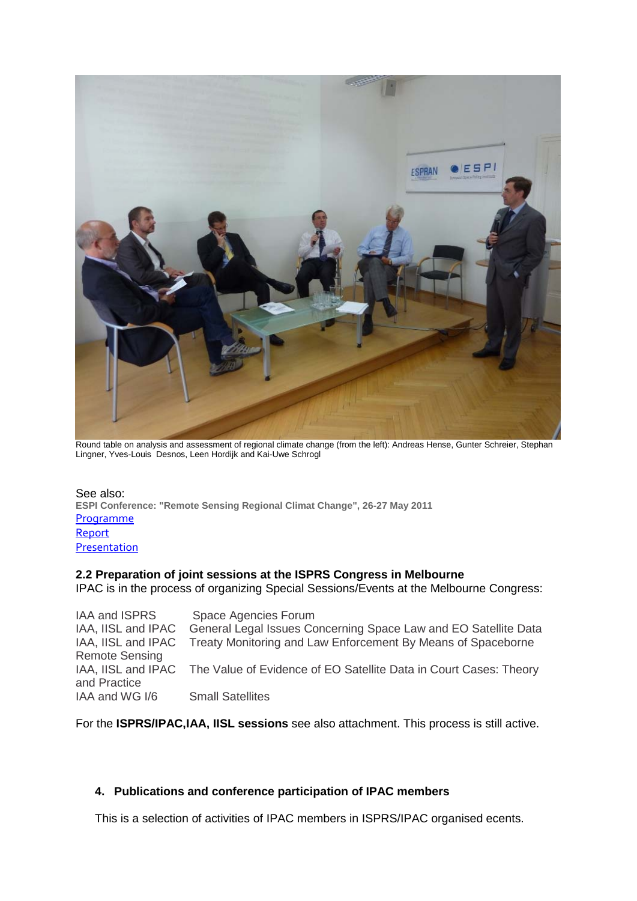

Round table on analysis and assessment of regional climate change (from the left): Andreas Hense, Gunter Schreier, Stephan Lingner, Yves-Louis Desnos, Leen Hordijk and Kai-Uwe Schrogl

See also: **ESPI Conference: "Remote Sensing Regional Climat Change", 26-27 May 2011** [Programme](http://www.espi.or.at/ESPI%20Workshop:) [Report](http://www.espi.or.at/index.php?option=com_content&view=article&id=684:espi-hosts-conference-on-remote-sensing-regional-climate-change&catid=39&Itemid=37) **[Presentation](http://www.espi.or.at/images/stories/dokumente/presentations2011/PPT_Climate_Change_ESPI_26-27_May_2011_FINAL.pdf)** 

## **2.2 Preparation of joint sessions at the ISPRS Congress in Melbourne**

IPAC is in the process of organizing Special Sessions/Events at the Melbourne Congress:

| <b>IAA and ISPRS</b>  | Space Agencies Forum                                                                 |
|-----------------------|--------------------------------------------------------------------------------------|
| IAA, IISL and IPAC    | General Legal Issues Concerning Space Law and EO Satellite Data                      |
|                       | IAA, IISL and IPAC Treaty Monitoring and Law Enforcement By Means of Spaceborne      |
| <b>Remote Sensing</b> |                                                                                      |
|                       | IAA, IISL and IPAC The Value of Evidence of EO Satellite Data in Court Cases: Theory |
| and Practice          |                                                                                      |
| IAA and WG I/6        | <b>Small Satellites</b>                                                              |

For the **ISPRS/IPAC,IAA, IISL sessions** see also attachment. This process is still active.

## **4. Publications and conference participation of IPAC members**

This is a selection of activities of IPAC members in ISPRS/IPAC organised ecents.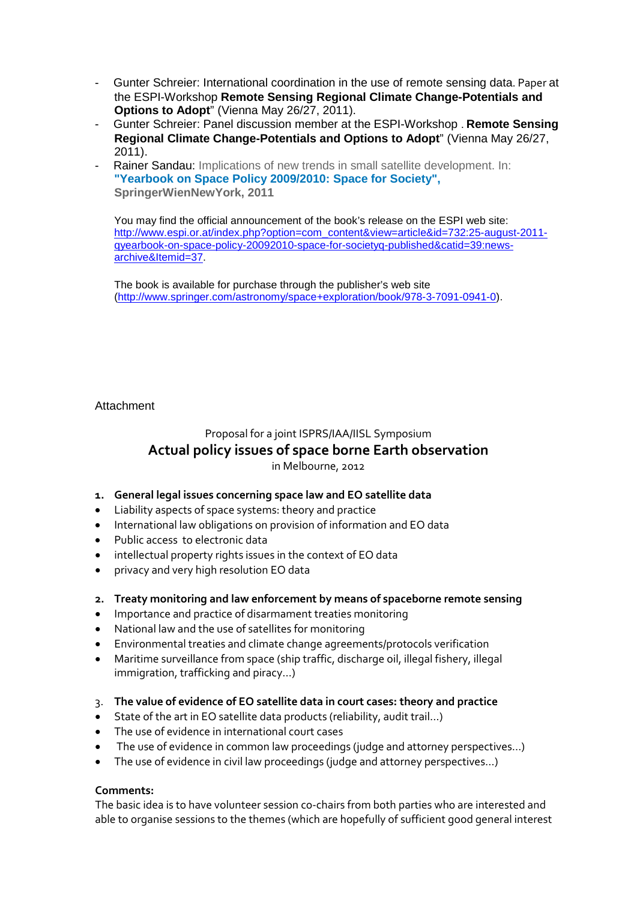- Gunter Schreier: International coordination in the use of remote sensing data. Paper at the ESPI-Workshop **Remote Sensing Regional Climate Change-Potentials and Options to Adopt**" (Vienna May 26/27, 2011).
- Gunter Schreier: Panel discussion member at the ESPI-Workshop . **Remote Sensing Regional Climate Change-Potentials and Options to Adopt**" (Vienna May 26/27, 2011).
- Rainer Sandau: Implications of new trends in small satellite development. In: **"Yearbook on Space Policy 2009/2010: Space for Society", SpringerWienNewYork, 2011**

You may find the official announcement of the book's release on the ESPI web site: [http://www.espi.or.at/index.php?option=com\\_content&view=article&id=732:25-august-2011](https://owa.dlr.de/owa/redir.aspx?C=514da097d61f4ce2aaec2bb2833c8207&URL=http%3a%2f%2fwww.espi.or.at%2findex.php%3foption%3dcom_content%26view%3darticle%26id%3d732%3a25-august-2011-qyearbook-on-space-policy-20092010-space-for-societyq-published%26catid%3d39%3anews-archive%26Itemid%3d37) [qyearbook-on-space-policy-20092010-space-for-societyq-published&catid=39:news](https://owa.dlr.de/owa/redir.aspx?C=514da097d61f4ce2aaec2bb2833c8207&URL=http%3a%2f%2fwww.espi.or.at%2findex.php%3foption%3dcom_content%26view%3darticle%26id%3d732%3a25-august-2011-qyearbook-on-space-policy-20092010-space-for-societyq-published%26catid%3d39%3anews-archive%26Itemid%3d37)[archive&Itemid=37.](https://owa.dlr.de/owa/redir.aspx?C=514da097d61f4ce2aaec2bb2833c8207&URL=http%3a%2f%2fwww.espi.or.at%2findex.php%3foption%3dcom_content%26view%3darticle%26id%3d732%3a25-august-2011-qyearbook-on-space-policy-20092010-space-for-societyq-published%26catid%3d39%3anews-archive%26Itemid%3d37)

The book is available for purchase through the publisher's web site [\(http://www.springer.com/astronomy/space+exploration/book/978-3-7091-0941-0\)](https://owa.dlr.de/owa/redir.aspx?C=514da097d61f4ce2aaec2bb2833c8207&URL=http%3a%2f%2fwww.springer.com%2fastronomy%2fspace%2bexploration%2fbook%2f978-3-7091-0941-0).

## Attachment

# Proposal for a joint ISPRS/IAA/IISL Symposium **Actual policy issues of space borne Earth observation** in Melbourne, 2012

## **1. General legal issues concerning space law and EO satellite data**

- Liability aspects of space systems: theory and practice
- International law obligations on provision of information and EO data
- Public access to electronic data
- intellectual property rights issues in the context of EO data
- privacy and very high resolution EO data

## **2. Treaty monitoring and law enforcement by means of spaceborne remote sensing**

- Importance and practice of disarmament treaties monitoring
- National law and the use of satellites for monitoring
- Environmental treaties and climate change agreements/protocols verification
- Maritime surveillance from space (ship traffic, discharge oil, illegal fishery, illegal immigration, trafficking and piracy…)
- 3. **The value of evidence of EO satellite data in court cases: theory and practice**
- State of the art in EO satellite data products (reliability, audit trail…)
- The use of evidence in international court cases
- The use of evidence in common law proceedings (judge and attorney perspectives...)
- The use of evidence in civil law proceedings (judge and attorney perspectives…)

## **Comments:**

The basic idea is to have volunteer session co-chairs from both parties who are interested and able to organise sessions to the themes (which are hopefully of sufficient good general interest